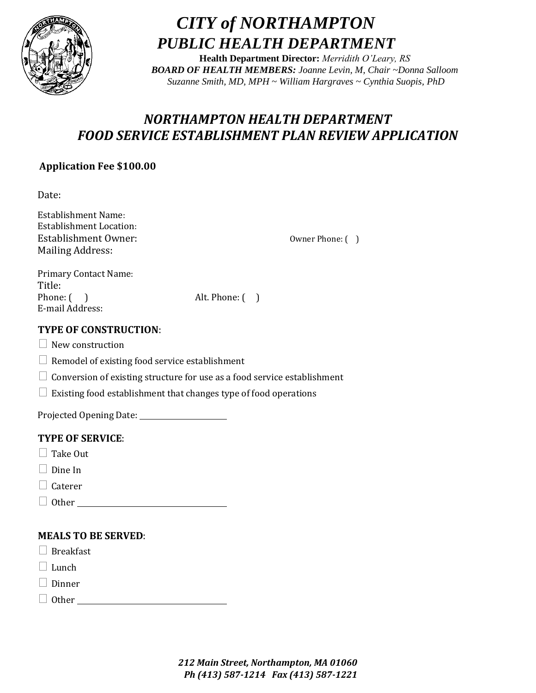

# *CITY of NORTHAMPTON PUBLIC HEALTH DEPARTMENT*

**Health Department Director:** *Merridith O'Leary, RS BOARD OF HEALTH MEMBERS: Joanne Levin, M, Chair ~Donna Salloom Suzanne Smith, MD, MPH ~ William Hargraves ~ Cynthia Suopis, PhD* 

# *NORTHAMPTON HEALTH DEPARTMENT FOOD SERVICE ESTABLISHMENT PLAN REVIEW APPLICATION*

# **Application Fee \$100.00**

Date:

Establishment Name: Establishment Location: Establishment Owner: Owner Phone: ( ) Mailing Address:

Primary Contact Name: Title: Phone: ( ) Alt. Phone: ( ) E-mail Address:

#### **TYPE OF CONSTRUCTION**:

 $\Box$  New construction

- $\Box$  Remodel of existing food service establishment
- $\Box$  Conversion of existing structure for use as a food service establishment
- $\Box$  Existing food establishment that changes type of food operations

Projected Opening Date: Network of the Projected Opening Date:

#### **TYPE OF SERVICE**:

- $\Box$  Take Out
- $\Box$  Dine In
- $\Box$  Caterer
- □ Other

#### **MEALS TO BE SERVED**:

- $\Box$  Breakfast
- $\Box$  Lunch
- $\Box$  Dinner
- Other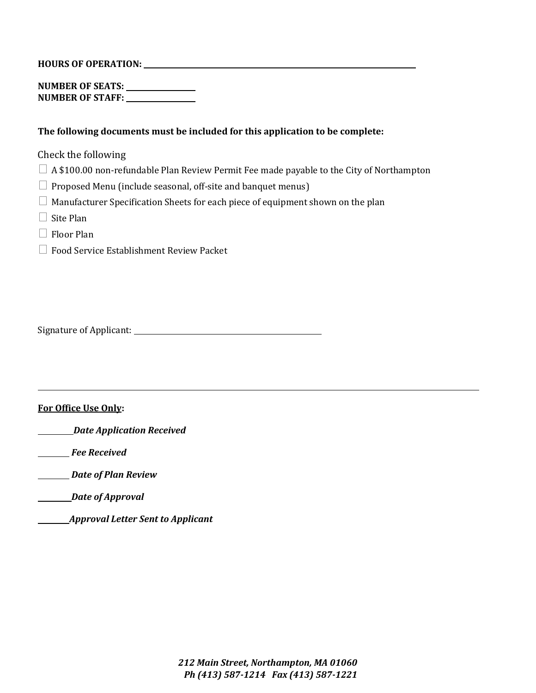**HOURS OF OPERATION:** 

| <b>NUMBER OF SEATS:</b> |  |
|-------------------------|--|
| <b>NUMBER OF STAFF:</b> |  |

#### **The following documents must be included for this application to be complete:**

Check the following

 $\Box$  A \$100.00 non-refundable Plan Review Permit Fee made payable to the City of Northampton

 $\Box$  Proposed Menu (include seasonal, off-site and banquet menus)

 $\Box$  Manufacturer Specification Sheets for each piece of equipment shown on the plan

 $\Box$  Site Plan

 $\Box$  Floor Plan

□ Food Service Establishment Review Packet

Signature of Applicant:

**For Office Use Only:**

*Date Application Received* 

*Fee Received* 

*Date of Plan Review*

*Date of Approval*

*Approval Letter Sent to Applicant*

*212 Main Street, Northampton, MA 01060 Ph (413) 587-1214 Fax (413) 587-1221*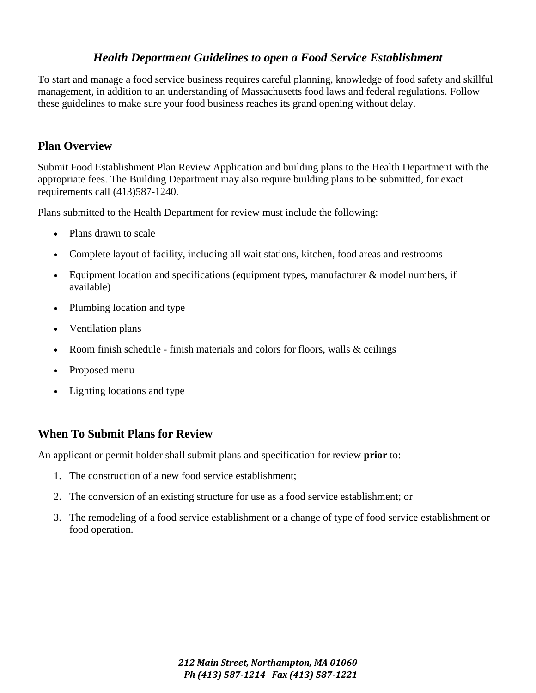# *Health Department Guidelines to open a Food Service Establishment*

To start and manage a food service business requires careful planning, knowledge of food safety and skillful management, in addition to an understanding of Massachusetts food laws and federal regulations. Follow these guidelines to make sure your food business reaches its grand opening without delay.

#### **Plan Overview**

Submit Food Establishment Plan Review Application and building plans to the Health Department with the appropriate fees. The Building Department may also require building plans to be submitted, for exact requirements call (413)587-1240.

Plans submitted to the Health Department for review must include the following:

- Plans drawn to scale
- Complete layout of facility, including all wait stations, kitchen, food areas and restrooms
- Equipment location and specifications (equipment types, manufacturer  $\&$  model numbers, if available)
- Plumbing location and type
- Ventilation plans
- Room finish schedule finish materials and colors for floors, walls  $\&$  ceilings
- Proposed menu
- Lighting locations and type

#### **When To Submit Plans for Review**

An applicant or permit holder shall submit plans and specification for review **prior** to:

- 1. The construction of a new food service establishment;
- 2. The conversion of an existing structure for use as a food service establishment; or
- 3. The remodeling of a food service establishment or a change of type of food service establishment or food operation.

*212 Main Street, Northampton, MA 01060 Ph (413) 587-1214 Fax (413) 587-1221*